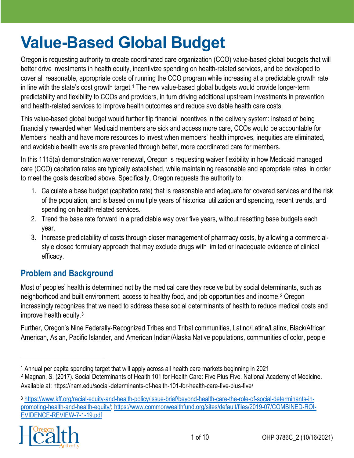# **Value-Based Global Budget**

Oregon is requesting authority to create coordinated care organization (CCO) value-based global budgets that will better drive investments in health equity, incentivize spending on health-related services, and be developed to cover all reasonable, appropriate costs of running the CCO program while increasing at a predictable growth rate in line with the state's cost growth target.<sup>[1](#page-0-0)</sup> The new value-based global budgets would provide longer-term predictability and flexibility to CCOs and providers, in turn driving additional upstream investments in prevention and health-related services to improve health outcomes and reduce avoidable health care costs.

This value-based global budget would further flip financial incentives in the delivery system: instead of being financially rewarded when Medicaid members are sick and access more care, CCOs would be accountable for Members' health and have more resources to invest when members' health improves, inequities are eliminated, and avoidable health events are prevented through better, more coordinated care for members.

In this 1115(a) demonstration waiver renewal, Oregon is requesting waiver flexibility in how Medicaid managed care (CCO) capitation rates are typically established, while maintaining reasonable and appropriate rates, in order to meet the goals described above. Specifically, Oregon requests the authority to:

- 1. Calculate a base budget (capitation rate) that is reasonable and adequate for covered services and the risk of the population, and is based on multiple years of historical utilization and spending, recent trends, and spending on health-related services.
- 2. Trend the base rate forward in a predictable way over five years, without resetting base budgets each year.
- 3. Increase predictability of costs through closer management of pharmacy costs, by allowing a commercialstyle closed formulary approach that may exclude drugs with limited or inadequate evidence of clinical efficacy.

# **Problem and Background**

Most of peoples' health is determined not by the medical care they receive but by social determinants, such as neighborhood and built environment, access to healthy food, and job opportunities and income.[2](#page-0-1) Oregon increasingly recognizes that we need to address these social determinants of health to reduce medical costs and improve health equity.[3](#page-0-2)

Further, Oregon's Nine Federally-Recognized Tribes and Tribal communities, Latino/Latina/Latinx, Black/African American, Asian, Pacific Islander, and American Indian/Alaska Native populations, communities of color, people

<span id="page-0-2"></span><sup>3</sup> [https://www.kff.org/racial-equity-and-health-policy/issue-brief/beyond-health-care-the-role-of-social-determinants-in](https://www.kff.org/racial-equity-and-health-policy/issue-brief/beyond-health-care-the-role-of-social-determinants-in-promoting-health-and-health-equity/)[promoting-health-and-health-equity/;](https://www.kff.org/racial-equity-and-health-policy/issue-brief/beyond-health-care-the-role-of-social-determinants-in-promoting-health-and-health-equity/) [https://www.commonwealthfund.org/sites/default/files/2019-07/COMBINED-ROI-](https://www.commonwealthfund.org/sites/default/files/2019-07/COMBINED-ROI-EVIDENCE-REVIEW-7-1-19.pdf)[EVIDENCE-REVIEW-7-1-19.pdf](https://www.commonwealthfund.org/sites/default/files/2019-07/COMBINED-ROI-EVIDENCE-REVIEW-7-1-19.pdf)



<span id="page-0-0"></span><sup>1</sup> Annual per capita spending target that will apply across all health care markets beginning in 2021

<span id="page-0-1"></span><sup>2</sup> Magnan, S. (2017). Social Determinants of Health 101 for Health Care: Five Plus Five. National Academy of Medicine. Available at:<https://nam.edu/social-determinants-of-health-101-for-health-care-five-plus-five/>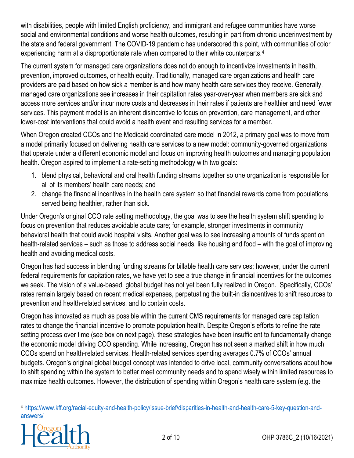with disabilities, people with limited English proficiency, and immigrant and refugee communities have worse social and environmental conditions and worse health outcomes, resulting in part from chronic underinvestment by the state and federal government. The COVID-19 pandemic has underscored this point, with communities of color experiencing harm at a disproportionate rate when compared to their white counterparts.<sup>[4](#page-1-0)</sup>

The current system for managed care organizations does not do enough to incentivize investments in health, prevention, improved outcomes, or health equity. Traditionally, managed care organizations and health care providers are paid based on how sick a member is and how many health care services they receive. Generally, managed care organizations see increases in their capitation rates year-over-year when members are sick and access more services and/or incur more costs and decreases in their rates if patients are healthier and need fewer services. This payment model is an inherent disincentive to focus on prevention, care management, and other lower-cost interventions that could avoid a health event and resulting services for a member.

When Oregon created CCOs and the Medicaid coordinated care model in 2012, a primary goal was to move from a model primarily focused on delivering health care services to a new model: community-governed organizations that operate under a different economic model and focus on improving health outcomes and managing population health. Oregon aspired to implement a rate-setting methodology with two goals:

- 1. blend physical, behavioral and oral health funding streams together so one organization is responsible for all of its members' health care needs; and
- 2. change the financial incentives in the health care system so that financial rewards come from populations served being healthier, rather than sick.

Under Oregon's original CCO rate setting methodology, the goal was to see the health system shift spending to focus on prevention that reduces avoidable acute care; for example, stronger investments in community behavioral health that could avoid hospital visits. Another goal was to see increasing amounts of funds spent on health-related services – such as those to address social needs, like housing and food – with the goal of improving health and avoiding medical costs.

Oregon has had success in blending funding streams for billable health care services; however, under the current federal requirements for capitation rates, we have yet to see a true change in financial incentives for the outcomes we seek. The vision of a value-based, global budget has not yet been fully realized in Oregon. Specifically, CCOs' rates remain largely based on recent medical expenses, perpetuating the built-in disincentives to shift resources to prevention and health-related services, and to contain costs.

Oregon has innovated as much as possible within the current CMS requirements for managed care capitation rates to change the financial incentive to promote population health. Despite Oregon's efforts to refine the rate setting process over time (see box on next page), these strategies have been insufficient to fundamentally change the economic model driving CCO spending. While increasing, Oregon has not seen a marked shift in how much CCOs spend on health-related services. Health-related services spending averages 0.7% of CCOs' annual budgets. Oregon's original global budget concept was intended to drive local, community conversations about how to shift spending within the system to better meet community needs and to spend wisely within limited resources to maximize health outcomes. However, the distribution of spending within Oregon's health care system (e.g. the

<span id="page-1-0"></span><sup>4</sup> [https://www.kff.org/racial-equity-and-health-policy/issue-brief/disparities-in-health-and-health-care-5-key-question-and](https://www.kff.org/racial-equity-and-health-policy/issue-brief/disparities-in-health-and-health-care-5-key-question-and-answers/)[answers/](https://www.kff.org/racial-equity-and-health-policy/issue-brief/disparities-in-health-and-health-care-5-key-question-and-answers/)

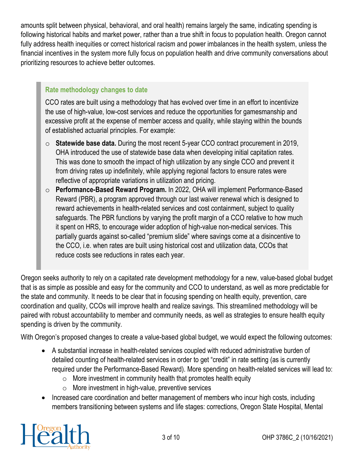amounts split between physical, behavioral, and oral health) remains largely the same, indicating spending is following historical habits and market power, rather than a true shift in focus to population health. Oregon cannot fully address health inequities or correct historical racism and power imbalances in the health system, unless the financial incentives in the system more fully focus on population health and drive community conversations about prioritizing resources to achieve better outcomes.

#### **Rate methodology changes to date**

CCO rates are built using a methodology that has evolved over time in an effort to incentivize the use of high-value, low-cost services and reduce the opportunities for gamesmanship and excessive profit at the expense of member access and quality, while staying within the bounds of established actuarial principles. For example:

- o **Statewide base data.** During the most recent 5-year CCO contract procurement in 2019, OHA introduced the use of statewide base data when developing initial capitation rates. This was done to smooth the impact of high utilization by any single CCO and prevent it from driving rates up indefinitely, while applying regional factors to ensure rates were reflective of appropriate variations in utilization and pricing.
- o **Performance-Based Reward Program.** In 2022, OHA will implement Performance-Based Reward (PBR), a program approved through our last waiver renewal which is designed to reward achievements in health-related services and cost containment, subject to quality safeguards. The PBR functions by varying the profit margin of a CCO relative to how much it spent on HRS, to encourage wider adoption of high-value non-medical services. This partially guards against so-called "premium slide" where savings come at a disincentive to the CCO, i.e. when rates are built using historical cost and utilization data, CCOs that reduce costs see reductions in rates each year.

Oregon seeks authority to rely on a capitated rate development methodology for a new, value-based global budget that is as simple as possible and easy for the community and CCO to understand, as well as more predictable for the state and community. It needs to be clear that in focusing spending on health equity, prevention, care coordination and quality, CCOs will improve health and realize savings. This streamlined methodology will be paired with robust accountability to member and community needs, as well as strategies to ensure health equity spending is driven by the community.

With Oregon's proposed changes to create a value-based global budget, we would expect the following outcomes:

- A substantial increase in health-related services coupled with reduced administrative burden of detailed counting of health-related services in order to get "credit" in rate setting (as is currently required under the Performance-Based Reward). More spending on health-related services will lead to:
	- $\circ$  More investment in community health that promotes health equity
	- o More investment in high-value, preventive services
- Increased care coordination and better management of members who incur high costs, including members transitioning between systems and life stages: corrections, Oregon State Hospital, Mental

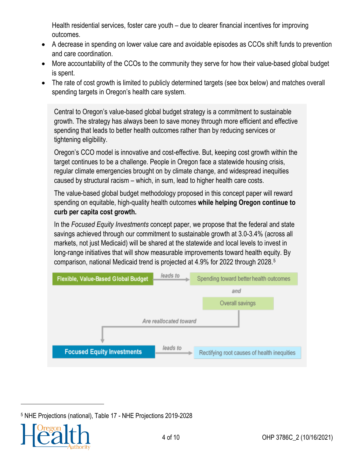Health residential services, foster care youth – due to clearer financial incentives for improving outcomes.

- A decrease in spending on lower value care and avoidable episodes as CCOs shift funds to prevention and care coordination.
- More accountability of the CCOs to the community they serve for how their value-based global budget is spent.
- The rate of cost growth is limited to publicly determined targets (see box below) and matches overall spending targets in Oregon's health care system.

Central to Oregon's value-based global budget strategy is a commitment to sustainable growth. The strategy has always been to save money through more efficient and effective spending that leads to better health outcomes rather than by reducing services or tightening eligibility.

Oregon's CCO model is innovative and cost-effective. But, keeping cost growth within the target continues to be a challenge. People in Oregon face a statewide housing crisis, regular climate emergencies brought on by climate change, and widespread inequities caused by structural racism – which, in sum, lead to higher health care costs.

The value-based global budget methodology proposed in this concept paper will reward spending on equitable, high-quality health outcomes **while helping Oregon continue to curb per capita cost growth.**

In the *Focused Equity Investments* concept paper, we propose that the federal and state savings achieved through our commitment to sustainable growth at 3.0-3.4% (across all markets, not just Medicaid) will be shared at the statewide and local levels to invest in long-range initiatives that will show measurable improvements toward health equity. By comparison, national Medicaid trend is projected at 4.9% for 2022 through 2028.[5](#page-3-0)



<span id="page-3-0"></span><sup>5</sup> NHE Projections (national), Table 17 - NHE Projections 2019-2028

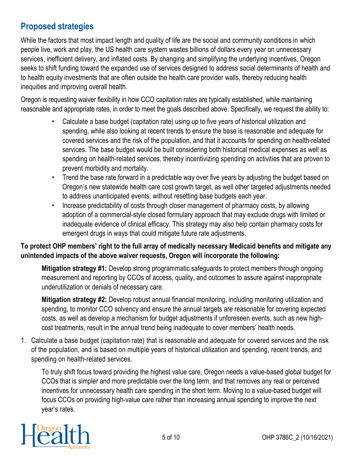# **Proposed strategies**

While the factors that most impact length and quality of life are the social and community conditions in which people live, work and play, the US health care system wastes billions of dollars every year on unnecessary services, inefficient delivery, and inflated costs. By changing and simplifying the underlying incentives, Oregon seeks to shift funding toward the expanded use of services designed to address social determinants of health and to health equity investments that are often outside the health care provider walls, thereby reducing health inequities and improving overall health.

Oregon is requesting waiver flexibility in how CCO capitation rates are typically established, while maintaining reasonable and appropriate rates, in order to meet the goals described above. Specifically, we request the ability to:

- Calculate a base budget (capitation rate) using up to five years of historical utilization and spending, while also looking at recent trends to ensure the base is reasonable and adequate for covered services and the risk of the population, and that it accounts for spending on health-related services. The base budget would be built considering both historical medical expenses as well as spending on health-related services, thereby incentivizing spending on activities that are proven to prevent morbidity and mortality.
- Trend the base rate forward in a predictable way over five years by adjusting the budget based on Oregon's new statewide health care cost growth target, as well other targeted adjustments needed to address unanticipated events, without resetting base budgets each year.
- Increase predictability of costs through closer management of pharmacy costs, by allowing adoption of a commercial-style closed formulary approach that may exclude drugs with limited or inadequate evidence of clinical efficacy. This strategy may also help contain pharmacy costs for emergent drugs in ways that could mitigate future rate adjustments.

#### **To protect OHP members' right to the full array of medically necessary Medicaid benefits and mitigate any unintended impacts of the above waiver requests, Oregon will incorporate the following:**

**Mitigation strategy #1:** Develop strong programmatic safeguards to protect members through ongoing measurement and reporting by CCOs of access, quality, and outcomes to assure against inappropriate underutilization or denials of necessary care.

**Mitigation strategy #2:** Develop robust annual financial monitoring, including monitoring utilization and spending, to monitor CCO solvency and ensure the annual targets are reasonable for covering expected costs, as well as develop a mechanism for budget adjustments if unforeseen events, such as new highcost treatments, result in the annual trend being inadequate to cover members' health needs.

1. Calculate a base budget (capitation rate) that is reasonable and adequate for covered services and the risk of the population, and is based on multiple years of historical utilization and spending, recent trends, and spending on health-related services.

To truly shift focus toward providing the highest value care, Oregon needs a value-based global budget for CCOs that is simpler and more predictable over the long term, and that removes any real or perceived incentives for unnecessary health care spending in the short term. Moving to a value-based budget will focus CCOs on providing high-value care rather than increasing annual spending to improve the next year's rates.

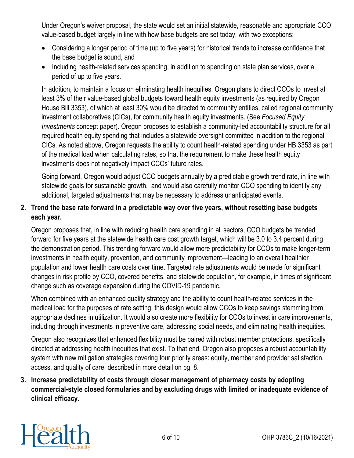Under Oregon's waiver proposal, the state would set an initial statewide, reasonable and appropriate CCO value-based budget largely in line with how base budgets are set today, with two exceptions:

- Considering a longer period of time (up to five years) for historical trends to increase confidence that the base budget is sound, and
- Including health-related services spending, in addition to spending on state plan services, over a period of up to five years.

In addition, to maintain a focus on eliminating health inequities, Oregon plans to direct CCOs to invest at least 3% of their value-based global budgets toward health equity investments (as required by Oregon House Bill 3353), of which at least 30% would be directed to community entities, called regional community investment collaboratives (CICs), for community health equity investments. (See *Focused Equity Investments* concept paper). Oregon proposes to establish a community-led accountability structure for all required health equity spending that includes a statewide oversight committee in addition to the regional CICs. As noted above, Oregon requests the ability to count health-related spending under HB 3353 as part of the medical load when calculating rates, so that the requirement to make these health equity investments does not negatively impact CCOs' future rates.

Going forward, Oregon would adjust CCO budgets annually by a predictable growth trend rate, in line with statewide goals for sustainable growth, and would also carefully monitor CCO spending to identify any additional, targeted adjustments that may be necessary to address unanticipated events.

#### **2. Trend the base rate forward in a predictable way over five years, without resetting base budgets each year.**

Oregon proposes that, in line with reducing health care spending in all sectors, CCO budgets be trended forward for five years at the statewide health care cost growth target, which will be 3.0 to 3.4 percent during the demonstration period. This trending forward would allow more predictability for CCOs to make longer-term investments in health equity, prevention, and community improvement—leading to an overall healthier population and lower health care costs over time. Targeted rate adjustments would be made for significant changes in risk profile by CCO, covered benefits, and statewide population, for example, in times of significant change such as coverage expansion during the COVID-19 pandemic.

When combined with an enhanced quality strategy and the ability to count health-related services in the medical load for the purposes of rate setting, this design would allow CCOs to keep savings stemming from appropriate declines in utilization. It would also create more flexibility for CCOs to invest in care improvements, including through investments in preventive care, addressing social needs, and eliminating health inequities.

Oregon also recognizes that enhanced flexibility must be paired with robust member protections, specifically directed at addressing health inequities that exist. To that end, Oregon also proposes a robust accountability system with new mitigation strategies covering four priority areas: equity, member and provider satisfaction, access, and quality of care, described in more detail on pg. 8.

**3. Increase predictability of costs through closer management of pharmacy costs by adopting commercial-style closed formularies and by excluding drugs with limited or inadequate evidence of clinical efficacy.** 

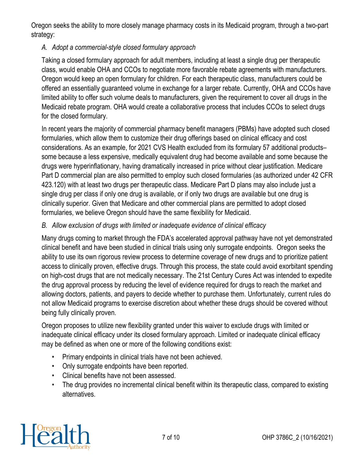Oregon seeks the ability to more closely manage pharmacy costs in its Medicaid program, through a two-part strategy:

#### *A. Adopt a commercial-style closed formulary approach*

Taking a closed formulary approach for adult members, including at least a single drug per therapeutic class, would enable OHA and CCOs to negotiate more favorable rebate agreements with manufacturers. Oregon would keep an open formulary for children. For each therapeutic class, manufacturers could be offered an essentially guaranteed volume in exchange for a larger rebate. Currently, OHA and CCOs have limited ability to offer such volume deals to manufacturers, given the requirement to cover all drugs in the Medicaid rebate program. OHA would create a collaborative process that includes CCOs to select drugs for the closed formulary.

In recent years the majority of commercial pharmacy benefit managers (PBMs) have adopted such closed formularies, which allow them to customize their drug offerings based on clinical efficacy and cost considerations. As an example, for 2021 CVS Health excluded from its formulary 57 additional products– some because a less expensive, medically equivalent drug had become available and some because the drugs were hyperinflationary, having dramatically increased in price without clear justification. Medicare Part D commercial plan are also permitted to employ such closed formularies (as authorized under 42 CFR 423.120) with at least two drugs per therapeutic class. Medicare Part D plans may also include just a single drug per class if only one drug is available, or if only two drugs are available but one drug is clinically superior. Given that Medicare and other commercial plans are permitted to adopt closed formularies, we believe Oregon should have the same flexibility for Medicaid.

#### *B. Allow exclusion of drugs with limited or inadequate evidence of clinical efficacy*

Many drugs coming to market through the FDA's accelerated approval pathway have not yet demonstrated clinical benefit and have been studied in clinical trials using only surrogate endpoints. Oregon seeks the ability to use its own rigorous review process to determine coverage of new drugs and to prioritize patient access to clinically proven, effective drugs. Through this process, the state could avoid exorbitant spending on high-cost drugs that are not medically necessary. The 21st Century Cures Act was intended to expedite the drug approval process by reducing the level of evidence required for drugs to reach the market and allowing doctors, patients, and payers to decide whether to purchase them. Unfortunately, current rules do not allow Medicaid programs to exercise discretion about whether these drugs should be covered without being fully clinically proven.

Oregon proposes to utilize new flexibility granted under this waiver to exclude drugs with limited or inadequate clinical efficacy under its closed formulary approach. Limited or inadequate clinical efficacy may be defined as when one or more of the following conditions exist:

- Primary endpoints in clinical trials have not been achieved.
- Only surrogate endpoints have been reported.
- Clinical benefits have not been assessed.
- The drug provides no incremental clinical benefit within its therapeutic class, compared to existing alternatives.

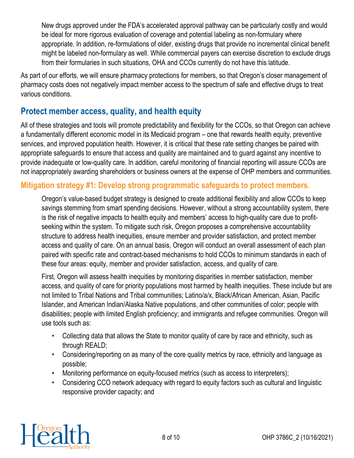New drugs approved under the FDA's accelerated approval pathway can be particularly costly and would be ideal for more rigorous evaluation of coverage and potential labeling as non-formulary where appropriate. In addition, re-formulations of older, existing drugs that provide no incremental clinical benefit might be labeled non-formulary as well. While commercial payers can exercise discretion to exclude drugs from their formularies in such situations, OHA and CCOs currently do not have this latitude.

As part of our efforts, we will ensure pharmacy protections for members, so that Oregon's closer management of pharmacy costs does not negatively impact member access to the spectrum of safe and effective drugs to treat various conditions.

## **Protect member access, quality, and health equity**

All of these strategies and tools will promote predictability and flexibility for the CCOs, so that Oregon can achieve a fundamentally different economic model in its Medicaid program – one that rewards health equity, preventive services, and improved population health. However, it is critical that these rate setting changes be paired with appropriate safeguards to ensure that access and quality are maintained and to guard against any incentive to provide inadequate or low-quality care. In addition, careful monitoring of financial reporting will assure CCOs are not inappropriately awarding shareholders or business owners at the expense of OHP members and communities.

### **Mitigation strategy #1: Develop strong programmatic safeguards to protect members.**

Oregon's value-based budget strategy is designed to create additional flexibility and allow CCOs to keep savings stemming from smart spending decisions. However, without a strong accountability system, there is the risk of negative impacts to health equity and members' access to high-quality care due to profitseeking within the system. To mitigate such risk, Oregon proposes a comprehensive accountability structure to address health inequities, ensure member and provider satisfaction, and protect member access and quality of care. On an annual basis, Oregon will conduct an overall assessment of each plan paired with specific rate and contract-based mechanisms to hold CCOs to minimum standards in each of these four areas: equity, member and provider satisfaction, access, and quality of care.

First, Oregon will assess health inequities by monitoring disparities in member satisfaction, member access, and quality of care for priority populations most harmed by health inequities. These include but are not limited to Tribal Nations and Tribal communities; Latino/a/x, Black/African American, Asian, Pacific Islander, and American Indian/Alaska Native populations, and other communities of color; people with disabilities; people with limited English proficiency; and immigrants and refugee communities. Oregon will use tools such as:

- Collecting data that allows the State to monitor quality of care by race and ethnicity, such as through REALD;
- Considering/reporting on as many of the core quality metrics by race, ethnicity and language as possible;
- Monitoring performance on equity-focused metrics (such as access to interpreters);
- Considering CCO network adequacy with regard to equity factors such as cultural and linguistic responsive provider capacity; and

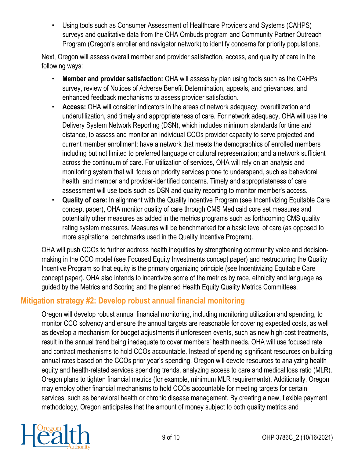• Using tools such as Consumer Assessment of Healthcare Providers and Systems (CAHPS) surveys and qualitative data from the OHA Ombuds program and Community Partner Outreach Program (Oregon's enroller and navigator network) to identify concerns for priority populations.

Next, Oregon will assess overall member and provider satisfaction, access, and quality of care in the following ways:

- **Member and provider satisfaction:** OHA will assess by plan using tools such as the CAHPs survey, review of Notices of Adverse Benefit Determination, appeals, and grievances, and enhanced feedback mechanisms to assess provider satisfaction.
- **Access:** OHA will consider indicators in the areas of network adequacy, overutilization and underutilization, and timely and appropriateness of care. For network adequacy, OHA will use the Delivery System Network Reporting (DSN), which includes minimum standards for time and distance, to assess and monitor an individual CCOs provider capacity to serve projected and current member enrollment; have a network that meets the demographics of enrolled members including but not limited to preferred language or cultural representation; and a network sufficient across the continuum of care. For utilization of services, OHA will rely on an analysis and monitoring system that will focus on priority services prone to underspend, such as behavioral health; and member and provider-identified concerns. Timely and appropriateness of care assessment will use tools such as DSN and quality reporting to monitor member's access.
- **Quality of care:** In alignment with the Quality Incentive Program (see Incentivizing Equitable Care concept paper), OHA monitor quality of care through CMS Medicaid core set measures and potentially other measures as added in the metrics programs such as forthcoming CMS quality rating system measures. Measures will be benchmarked for a basic level of care (as opposed to more aspirational benchmarks used in the Quality Incentive Program).

OHA will push CCOs to further address health inequities by strengthening community voice and decisionmaking in the CCO model (see Focused Equity Investments concept paper) and restructuring the Quality Incentive Program so that equity is the primary organizing principle (see Incentivizing Equitable Care concept paper). OHA also intends to incentivize some of the metrics by race, ethnicity and language as guided by the Metrics and Scoring and the planned Health Equity Quality Metrics Committees.

## **Mitigation strategy #2: Develop robust annual financial monitoring**

Oregon will develop robust annual financial monitoring, including monitoring utilization and spending, to monitor CCO solvency and ensure the annual targets are reasonable for covering expected costs, as well as develop a mechanism for budget adjustments if unforeseen events, such as new high-cost treatments, result in the annual trend being inadequate to cover members' health needs. OHA will use focused rate and contract mechanisms to hold CCOs accountable. Instead of spending significant resources on building annual rates based on the CCOs prior year's spending, Oregon will devote resources to analyzing health equity and health-related services spending trends, analyzing access to care and medical loss ratio (MLR). Oregon plans to tighten financial metrics (for example, minimum MLR requirements). Additionally, Oregon may employ other financial mechanisms to hold CCOs accountable for meeting targets for certain services, such as behavioral health or chronic disease management. By creating a new, flexible payment methodology, Oregon anticipates that the amount of money subject to both quality metrics and